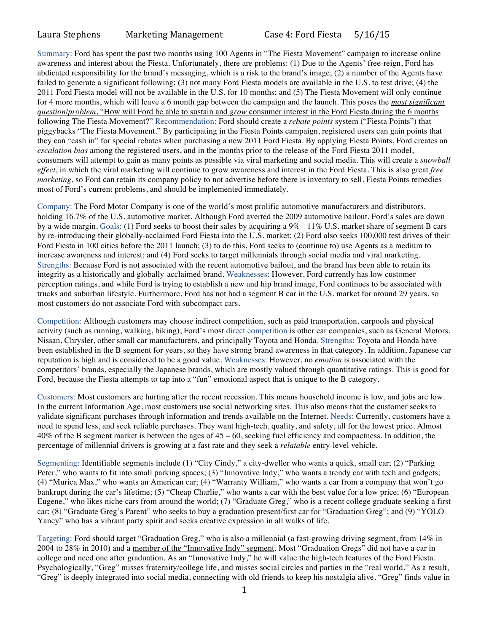## Laura Stephens Marketing Management Case 4: Ford Fiesta 5/16/15

Summary: Ford has spent the past two months using 100 Agents in "The Fiesta Movement" campaign to increase online awareness and interest about the Fiesta. Unfortunately, there are problems: (1) Due to the Agents' free-reign, Ford has abdicated responsibility for the brand's messaging, which is a risk to the brand's image; (2) a number of the Agents have failed to generate a significant following; (3) not many Ford Fiesta models are available in the U.S. to test drive; (4) the 2011 Ford Fiesta model will not be available in the U.S. for 10 months; and (5) The Fiesta Movement will only continue for 4 more months, which will leave a 6 month gap between the campaign and the launch. This poses the *most significant question/problem*, "How will Ford be able to sustain and *grow* consumer interest in the Ford Fiesta during the 6 months following The Fiesta Movement?" Recommendation: Ford should create a *rebate points* system ("Fiesta Points") that piggybacks "The Fiesta Movement." By participating in the Fiesta Points campaign, registered users can gain points that they can "cash in" for special rebates when purchasing a new 2011 Ford Fiesta. By applying Fiesta Points, Ford creates an *escalation bias* among the registered users, and in the months prior to the release of the Ford Fiesta 2011 model, consumers will attempt to gain as many points as possible via viral marketing and social media. This will create a *snowball effect*, in which the viral marketing will continue to grow awareness and interest in the Ford Fiesta. This is also great *free marketing*, so Ford can retain its company policy to not advertise before there is inventory to sell. Fiesta Points remedies most of Ford's current problems, and should be implemented immediately.

Company: The Ford Motor Company is one of the world's most prolific automotive manufacturers and distributors, holding 16.7% of the U.S. automotive market. Although Ford averted the 2009 automotive bailout, Ford's sales are down by a wide margin. Goals: (1) Ford seeks to boost their sales by acquiring a 9% - 11% U.S. market share of segment B cars by re-introducing their globally-acclaimed Ford Fiesta into the U.S. market; (2) Ford also seeks 100,000 test drives of their Ford Fiesta in 100 cities before the 2011 launch; (3) to do this, Ford seeks to (continue to) use Agents as a medium to increase awareness and interest; and (4) Ford seeks to target millennials through social media and viral marketing. Strengths: Because Ford is not associated with the recent automotive bailout, and the brand has been able to retain its integrity as a historically and globally-acclaimed brand. Weaknesses: However, Ford currently has low customer perception ratings, and while Ford is trying to establish a new and hip brand image, Ford continues to be associated with trucks and suburban lifestyle. Furthermore, Ford has not had a segment B car in the U.S. market for around 29 years, so most customers do not associate Ford with subcompact cars.

Competition: Although customers may choose indirect competition, such as paid transportation, carpools and physical activity (such as running, walking, biking), Ford's most direct competition is other car companies, such as General Motors, Nissan, Chrysler, other small car manufacturers, and principally Toyota and Honda. Strengths: Toyota and Honda have been established in the B segment for years, so they have strong brand awareness in that category. In addition, Japanese car reputation is high and is considered to be a good value. Weaknesses: However, no *emotion* is associated with the competitors' brands, especially the Japanese brands, which are mostly valued through quantitative ratings. This is good for Ford, because the Fiesta attempts to tap into a "fun" emotional aspect that is unique to the B category.

Customers: Most customers are hurting after the recent recession. This means household income is low, and jobs are low. In the current Information Age, most customers use social networking sites. This also means that the customer seeks to validate significant purchases through information and trends available on the Internet. Needs: Currently, customers have a need to spend less, and seek reliable purchases. They want high-tech, quality, and safety, all for the lowest price. Almost 40% of the B segment market is between the ages of 45 – 60, seeking fuel efficiency and compactness. In addition, the percentage of millennial drivers is growing at a fast rate and they seek a *relatable* entry-level vehicle.

Segmenting: Identifiable segments include (1) "City Cindy," a city-dweller who wants a quick, small car; (2) "Parking Peter," who wants to fit into small parking spaces; (3) "Innovative Indy," who wants a trendy car with tech and gadgets; (4) "Murica Max," who wants an American car; (4) "Warranty William," who wants a car from a company that won't go bankrupt during the car's lifetime; (5) "Cheap Charlie," who wants a car with the best value for a low price; (6) "European Eugene," who likes niche cars from around the world; (7) "Graduate Greg," who is a recent college graduate seeking a first car; (8) "Graduate Greg's Parent" who seeks to buy a graduation present/first car for "Graduation Greg"; and (9) "YOLO Yancy" who has a vibrant party spirit and seeks creative expression in all walks of life.

Targeting: Ford should target "Graduation Greg," who is also a millennial (a fast-growing driving segment, from 14% in 2004 to 28% in 2010) and a member of the "Innovative Indy" segment. Most "Graduation Gregs" did not have a car in college and need one after graduation. As an "Innovative Indy," he will value the high-tech features of the Ford Fiesta. Psychologically, "Greg" misses fraternity/college life, and misses social circles and parties in the "real world." As a result, "Greg" is deeply integrated into social media, connecting with old friends to keep his nostalgia alive. "Greg" finds value in